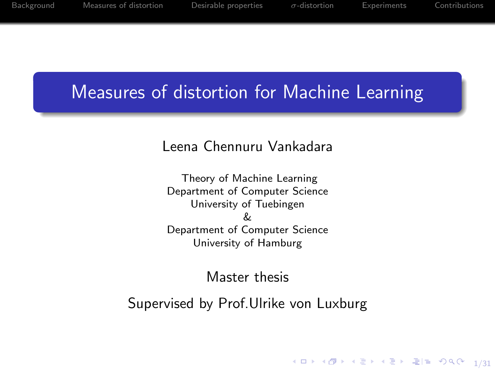### <span id="page-0-0"></span>Measures of distortion for Machine Learning

#### Leena Chennuru Vankadara

Theory of Machine Learning Department of Computer Science University of Tuebingen & Department of Computer Science University of Hamburg

#### Master thesis

Supervised by Prof.Ulrike von Luxburg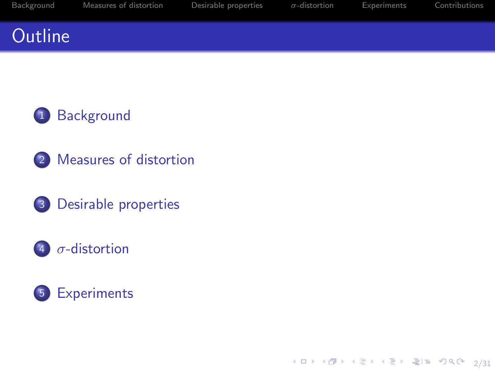### <span id="page-1-0"></span>**Outline**



- 2 [Measures of distortion](#page-9-0)
- 3 [Desirable properties](#page-24-0)

#### 4  $\sigma$ [-distortion](#page-31-0)



4 ロ → 4 @ → 4 할 → 4 할 → [할 → 9 Q <del>O</del> + 2/31]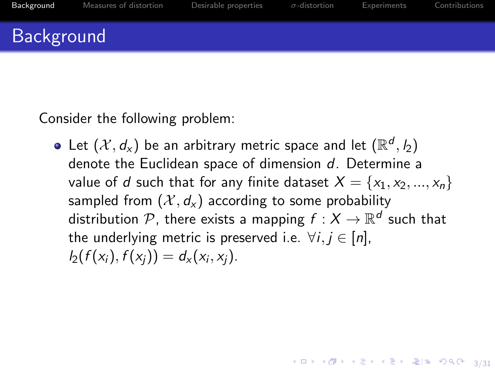<span id="page-2-0"></span>Consider the following problem:

Let  $(\mathcal{X},d_{\mathsf{x}})$  be an arbitrary metric space and let  $(\mathbb{R}^d,\mathit{l}_2)$ denote the Euclidean space of dimension d. Determine a value of d such that for any finite dataset  $X = \{x_1, x_2, ..., x_n\}$ sampled from  $(\mathcal{X}, d_x)$  according to some probability distribution  ${\mathcal P}$ , there exists a mapping  $f:X\to{\mathbb R}^d$  such that the underlying metric is preserved i.e.  $\forall i, j \in [n]$ ,  $I_2(f(x_i), f(x_j)) = d_x(x_i, x_j).$ 

4 ロ ▶ 4 @ ▶ 4 할 ▶ 4 할 ▶ 할 날 → 9 Q <del>0 - 3/31</del>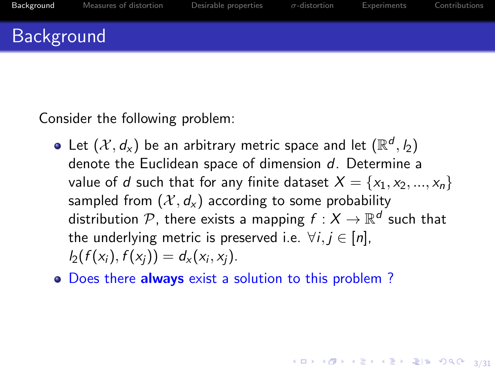Consider the following problem:

- Let  $(\mathcal{X},d_{\mathsf{x}})$  be an arbitrary metric space and let  $(\mathbb{R}^d,\mathit{l}_2)$ denote the Euclidean space of dimension d. Determine a value of d such that for any finite dataset  $X = \{x_1, x_2, ..., x_n\}$ sampled from  $(\mathcal{X}, d_x)$  according to some probability distribution  ${\mathcal P}$ , there exists a mapping  $f:X\to{\mathbb R}^d$  such that the underlying metric is preserved i.e.  $\forall i, j \in [n]$ ,  $I_2(f(x_i), f(x_j)) = d_x(x_i, x_j).$
- o Does there always exist a solution to this problem?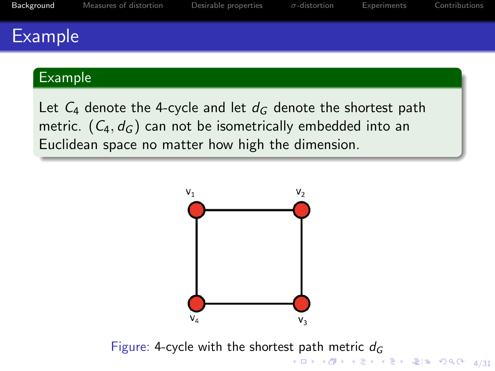#### Example

#### Example

Let  $C_4$  denote the 4-cycle and let  $d_G$  denote the shortest path metric.  $(C_4, d_6)$  can not be isometrically embedded into an Euclidean space no matter how high the dimension.



-<br>4/31 4 d → 4/31 4 d + 4/31 4/31 4/31 Figure: 4-cycle with the shortest path metric  $d_G$  $d_G$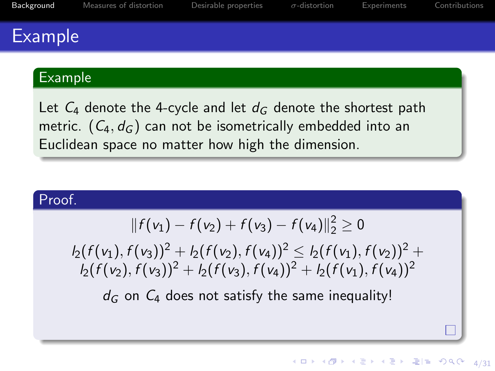### Example

#### Example

Let  $C_4$  denote the 4-cycle and let  $d_G$  denote the shortest path metric.  $(C_4, d_G)$  can not be isometrically embedded into an Euclidean space no matter how high the dimension.

#### Proof.

$$
|| f(v_1) - f(v_2) + f(v_3) - f(v_4)||_2^2 \geq 0
$$

 $l_2(f(v_1), f(v_3))^2 + l_2(f(v_2), f(v_4))^2 < l_2(f(v_1), f(v_2))^2 +$  $\frac{1}{2} \left\{ \frac{f(y_2)}{f(y_3)} + \frac{1}{2} \left\{ \frac{f(y_3)}{f(y_1)} \right\}^2 + \frac{1}{2} \left\{ \frac{f(y_1)}{f(y_1)} \right\}^2 \right\}$ 

 $d_G$  on  $C_4$  does not satisfy the same inequality!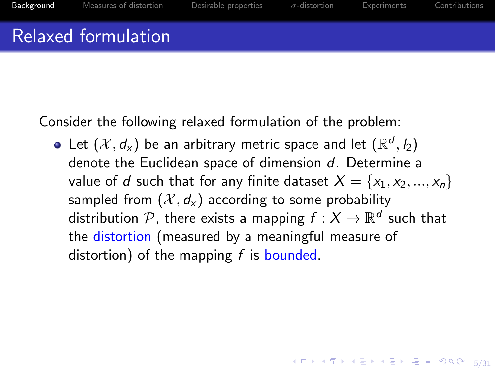#### Relaxed formulation

Consider the following relaxed formulation of the problem:

Let  $(\mathcal{X},d_{\mathsf{x}})$  be an arbitrary metric space and let  $(\mathbb{R}^d,\mathit{l}_2)$ denote the Euclidean space of dimension d. Determine a value of d such that for any finite dataset  $X = \{x_1, x_2, ..., x_n\}$ sampled from  $(\mathcal{X}, d_{\mathsf{x}})$  according to some probability distribution  ${\mathcal P}$ , there exists a mapping  $f:X\to{\mathbb R}^d$  such that the distortion (measured by a meaningful measure of distortion) of the mapping  $f$  is bounded.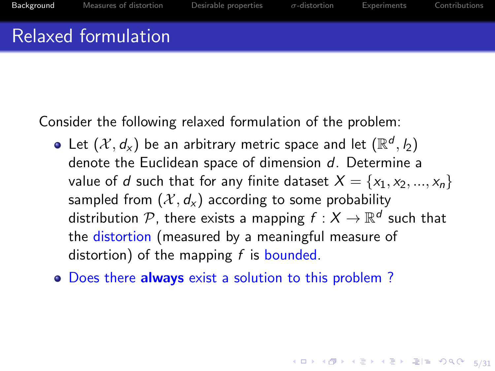### Relaxed formulation

Consider the following relaxed formulation of the problem:

- Let  $(\mathcal{X},d_{\mathsf{x}})$  be an arbitrary metric space and let  $(\mathbb{R}^d,\mathit{l}_2)$ denote the Euclidean space of dimension d. Determine a value of d such that for any finite dataset  $X = \{x_1, x_2, ..., x_n\}$ sampled from  $(\mathcal{X}, d_{\mathsf{x}})$  according to some probability distribution  ${\mathcal P}$ , there exists a mapping  $f:X\to{\mathbb R}^d$  such that the distortion (measured by a meaningful measure of distortion) of the mapping  $f$  is bounded.
- Does there always exist a solution to this problem?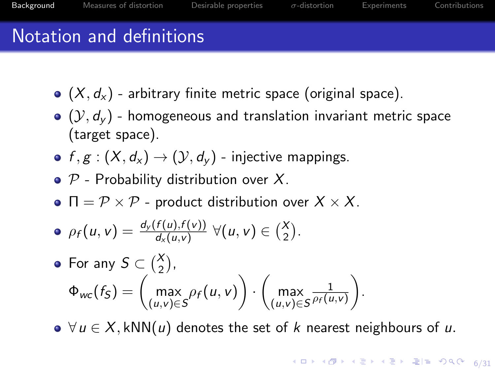# Notation and definitions

- $(X, d_X)$  arbitrary finite metric space (original space).
- $(Q, d_v)$  homogeneous and translation invariant metric space (target space).
- $f, g : (X, d_X) \rightarrow (Y, d_Y)$  injective mappings.
- $\bullet$  P Probability distribution over X.
- $\bullet \ \Pi = \mathcal{P} \times \mathcal{P}$  product distribution over  $X \times X$ .

$$
\bullet \ \rho_f(u,v) = \frac{d_y(f(u),f(v))}{d_x(u,v)} \ \forall (u,v) \in {X \choose 2}.
$$

• For any 
$$
S \subset {X \choose 2}
$$
,  
\n
$$
\Phi_{wc}(f_S) = \begin{pmatrix} \max_{(u,v) \in S} \rho_f(u,v) \end{pmatrix} \cdot \begin{pmatrix} \max_{(u,v) \in S} \frac{1}{\rho_f(u,v)} \end{pmatrix}.
$$

 $\bullet \ \forall u \in X, kNN(u)$  denotes the set of k nearest neighbours of u.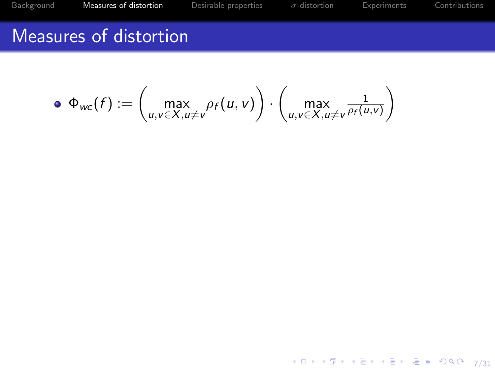4 ロ → 4 @ → 4 할 → 4 할 → 1할 = 12 → 20 0 + 2/31

### <span id="page-9-0"></span>Measures of distortion

$$
\bullet \ \Phi_{wc}(f) := \left(\max_{u,v \in X, u \neq v} \rho_f(u,v)\right) \cdot \left(\max_{u,v \in X, u \neq v} \frac{1}{\rho_f(u,v)}\right)
$$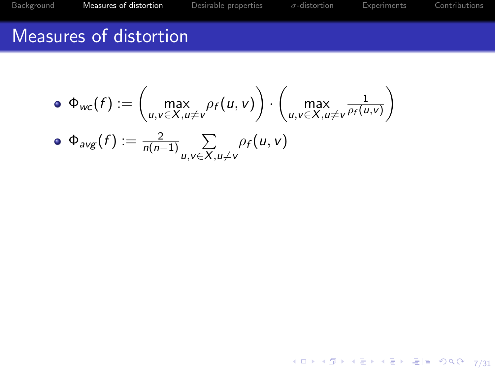4 ロ → 4 @ → 4 할 → 4 할 → 1할 = 12 → 20 0 + 2/31

### Measures of distortion

$$
\begin{aligned}\n\bullet \ \Phi_{wc}(f) &:= \left(\max_{u,v \in X, u \neq v} \rho_f(u,v)\right) \cdot \left(\max_{u,v \in X, u \neq v} \frac{1}{\rho_f(u,v)}\right) \\
\bullet \ \Phi_{avg}(f) &:= \frac{2}{n(n-1)} \sum_{u,v \in X, u \neq v} \rho_f(u,v)\n\end{aligned}
$$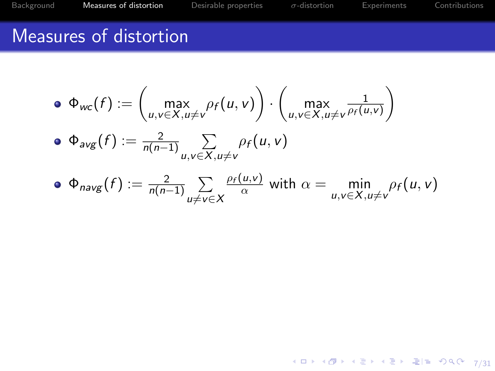4 ロ → 4 @ → 4 할 → 4 할 → 1할 = 12 → 20 0 + 2/31

### Measures of distortion

\n- \n
$$
\Phi_{wc}(f) := \left( \max_{u,v \in X, u \neq v} \rho_f(u,v) \right) \cdot \left( \max_{u,v \in X, u \neq v} \frac{1}{\rho_f(u,v)} \right)
$$
\n
\n- \n
$$
\Phi_{avg}(f) := \frac{2}{n(n-1)} \sum_{u,v \in X, u \neq v} \rho_f(u,v)
$$
\n
\n- \n
$$
\Phi_{avg}(f) := \frac{2}{n(n-1)} \sum_{v \in X, u \neq v} \frac{\rho_f(u,v)}{v} \quad \text{with } \alpha = \min_{v \in X, v \neq v} \rho_f(u,v)
$$
\n
\n

• 
$$
\Phi_{navg}(f) := \frac{2}{n(n-1)} \sum_{u \neq v \in X} \frac{\rho_f(u,v)}{\alpha}
$$
 with  $\alpha = \min_{u,v \in X, u \neq v} \rho_f(u,v)$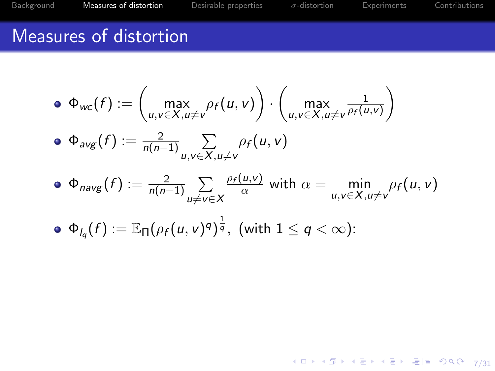## Measures of distortion

\n- \n
$$
\Phi_{wc}(f) := \left( \max_{u,v \in X, u \neq v} \rho_f(u,v) \right) \cdot \left( \max_{u,v \in X, u \neq v} \frac{1}{\rho_f(u,v)} \right)
$$
\n
\n- \n
$$
\Phi_{avg}(f) := \frac{2}{n(n-1)} \sum_{u,v \in X, u \neq v} \rho_f(u,v)
$$
\n
\n- \n
$$
\Phi_{navg}(f) := \frac{2}{n(n-1)} \sum_{u \neq v \in X} \frac{\rho_f(u,v)}{\alpha} \text{ with } \alpha = \min_{u,v \in X, u \neq v} \rho_f(u,v)
$$
\n
\n- \n
$$
\Phi_{l_q}(f) := \mathbb{E}_{\Pi} \left( \rho_f(u,v)^q \right)^{\frac{1}{q}}, \text{ (with } 1 \leq q < \infty\text{)}:
$$
\n
\n

4 ロ → 4 @ → 4 할 → 4 할 → 1할 = 12 → 20 0 + 2/31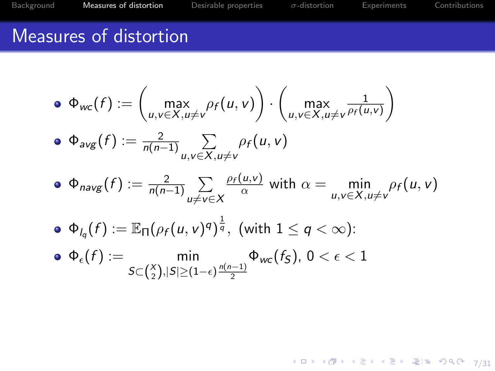### Measures of distortion

\n- \n
$$
\Phi_{wc}(f) := \left( \max_{u,v \in X, u \neq v} \rho_f(u,v) \right) \cdot \left( \max_{u,v \in X, u \neq v} \frac{1}{\rho_f(u,v)} \right)
$$
\n
\n- \n
$$
\Phi_{avg}(f) := \frac{2}{n(n-1)} \sum_{u,v \in X, u \neq v} \rho_f(u,v)
$$
\n
\n- \n
$$
\Phi_{navg}(f) := \frac{2}{n(n-1)} \sum_{u \neq v \in X} \frac{\rho_f(u,v)}{\alpha} \text{ with } \alpha = \min_{u,v \in X, u \neq v} \rho_f(u,v)
$$
\n
\n- \n
$$
\Phi_{l_q}(f) := \mathbb{E}_{\Pi} \left( \rho_f(u,v)^q \right)^{\frac{1}{q}}, \text{ (with } 1 \leq q < \infty\text{)}:
$$
\n
\n- \n
$$
\Phi_{\epsilon}(f) := \min_{S \subset \binom{X}{2}, |S| \geq (1-\epsilon)} \frac{n(n-1)}{2} \Phi_{wc}(f_S), \quad 0 < \epsilon < 1
$$
\n
\n

4 ロ → 4 @ → 4 할 → 4 할 → 1할 = 12 → 20 0 + 2/31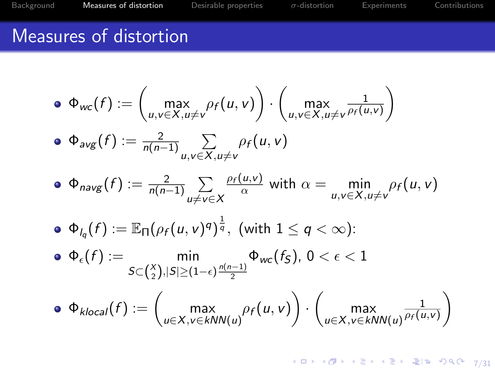# Measures of distortion

$$
\begin{aligned}\n\bullet \quad & \Phi_{wc}(f) := \left( \max_{u,v \in X, u \neq v} \rho_f(u,v) \right) \cdot \left( \max_{u,v \in X, u \neq v} \frac{1}{\rho_f(u,v)} \right) \\
& \bullet \quad & \Phi_{avg}(f) := \frac{2}{n(n-1)} \sum_{u,v \in X, u \neq v} \rho_f(u,v) \\
& \bullet \quad & \Phi_{navg}(f) := \frac{2}{n(n-1)} \sum_{u \neq v \in X} \frac{\rho_f(u,v)}{\alpha} \text{ with } \alpha = \min_{u,v \in X, u \neq v} \rho_f(u,v) \\
& \bullet \quad & \Phi_{l_q}(f) := \mathbb{E}_{\Pi} \left( \rho_f(u,v)^q \right)^{\frac{1}{q}}, \text{ (with } 1 \leq q < \infty): \\
& \bullet \quad & \Phi_{\epsilon}(f) := \min_{S \subset \binom{X}{2}, |S| \geq (1-\epsilon)} \frac{n(n-1)}{2} \Phi_{wc}(f_S), \ 0 < \epsilon < 1 \\
& \bullet \quad & \Phi_{klocal}(f) := \left( \max_{u \in X, v \in kNN(u)} \rho_f(u,v) \right) \cdot \left( \max_{u \in X, v \in kNN(u)} \frac{1}{\rho_f(u,v)} \right)\n\end{aligned}
$$

4 ロ → 4 @ → 4 할 → 4 할 → 2 할 = 9 % ® 7/31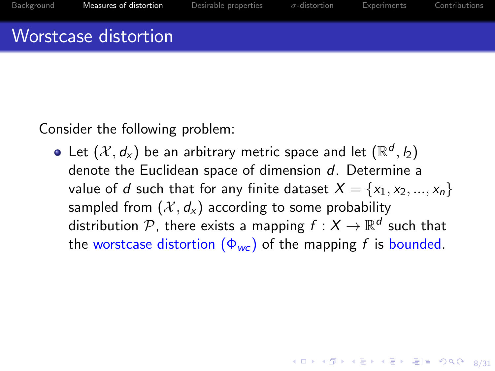# Worstcase distortion

Consider the following problem:

Let  $(\mathcal{X},d_{\mathsf{x}})$  be an arbitrary metric space and let  $(\mathbb{R}^d,\mathit{l}_2)$ denote the Euclidean space of dimension d. Determine a value of d such that for any finite dataset  $X = \{x_1, x_2, ..., x_n\}$ sampled from  $(\mathcal{X}, d_x)$  according to some probability distribution  ${\mathcal P}$ , there exists a mapping  $f:X\to{\mathbb R}^d$  such that the worstcase distortion  $(\Phi_{wc})$  of the mapping f is bounded.

4 ロ ▶ 4 @ ▶ 4 호 ▶ 4 호 ▶ 호 (박 9) 900 × 8/31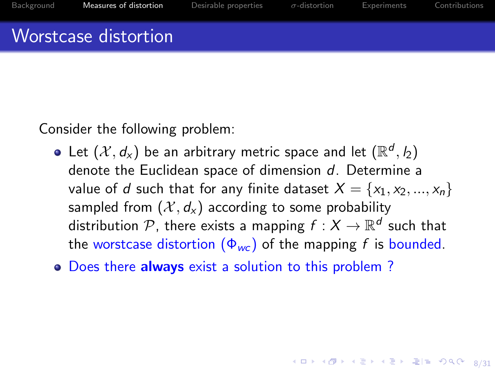# Worstcase distortion

Consider the following problem:

- Let  $(\mathcal{X},d_{\mathsf{x}})$  be an arbitrary metric space and let  $(\mathbb{R}^d,\mathit{l}_2)$ denote the Euclidean space of dimension d. Determine a value of d such that for any finite dataset  $X = \{x_1, x_2, ..., x_n\}$ sampled from  $(\mathcal{X}, d_x)$  according to some probability distribution  ${\mathcal P}$ , there exists a mapping  $f:X\to{\mathbb R}^d$  such that the worstcase distortion  $(\Phi_{wc})$  of the mapping f is bounded.
- Does there always exist a solution to this problem?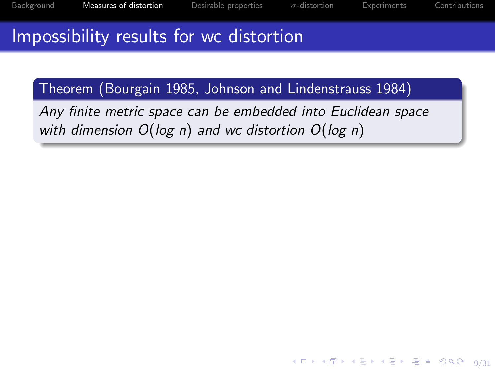4 ロ → 4 @ → 4 할 → 4 할 → 별 = 9 9 0 º 9/31

# Impossibility results for wc distortion

Theorem (Bourgain [1985,](#page-48-0) Johnson and Lindenstrauss [1984\)](#page-49-0)

Any finite metric space can be embedded into Euclidean space with dimension  $O(log n)$  and wc distortion  $O(log n)$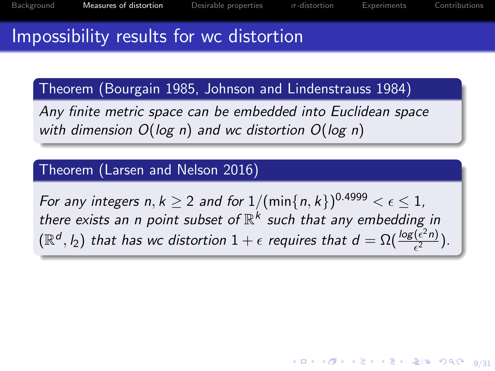# Impossibility results for wc distortion

Theorem (Bourgain [1985,](#page-48-0) Johnson and Lindenstrauss [1984\)](#page-49-0)

Any finite metric space can be embedded into Euclidean space with dimension  $O(log n)$  and wc distortion  $O(log n)$ 

#### Theorem (Larsen and Nelson [2016\)](#page-49-1)

For any integers  $n, k \geq 2$  and for  $1/(\min\{n, k\})^{0.4999} < \epsilon \leq 1$ , there exists an n point subset of  $\mathbb{R}^k$  such that any embedding in  $(\mathbb{R}^d, I_2)$  that has wc distortion  $1+\epsilon$  requires that  $d = \Omega(\frac{\log(\epsilon^2 n)}{\epsilon^2})$  $\frac{(\epsilon^{-n})}{\epsilon^2}$ ).

4 ロ → 4 @ → 4 할 → 4 할 → 1할 = 900 0 9/31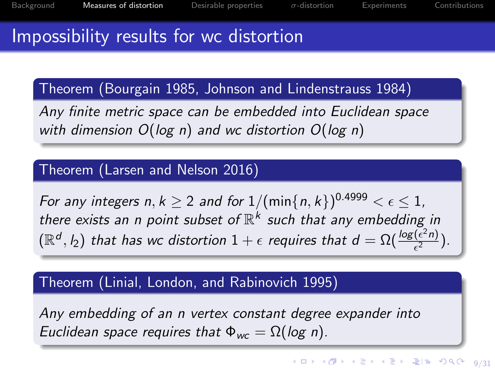## Impossibility results for wc distortion

Theorem (Bourgain [1985,](#page-48-0) Johnson and Lindenstrauss [1984\)](#page-49-0)

Any finite metric space can be embedded into Euclidean space with dimension  $O(log n)$  and wc distortion  $O(log n)$ 

#### Theorem (Larsen and Nelson [2016\)](#page-49-1)

For any integers  $n, k \geq 2$  and for  $1/(\min\{n, k\})^{0.4999} < \epsilon \leq 1$ , there exists an n point subset of  $\mathbb{R}^k$  such that any embedding in  $(\mathbb{R}^d, I_2)$  that has wc distortion  $1+\epsilon$  requires that  $d = \Omega(\frac{\log(\epsilon^2 n)}{\epsilon^2})$  $\frac{(\epsilon^{-n})}{\epsilon^2}$ ).

#### Theorem (Linial, London, and Rabinovich [1995\)](#page-49-2)

Any embedding of an n vertex constant degree expander into Euclidean space requires that  $\Phi_{wc} = \Omega(\log n)$ .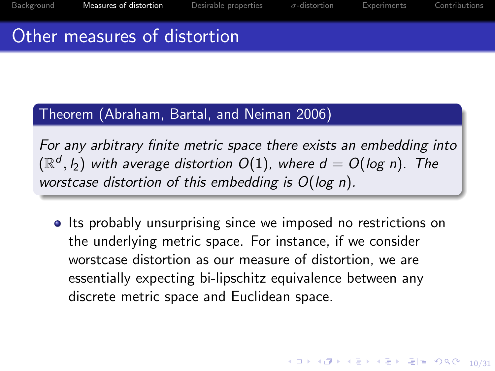#### Other measures of distortion

#### Theorem (Abraham, Bartal, and Neiman [2006\)](#page-48-1)

For any arbitrary finite metric space there exists an embedding into  $(\mathbb{R}^d, l_2)$  with average distortion  $O(1)$ , where  $d = O(\log n)$ . The worstcase distortion of this embedding is O(log n).

**Its probably unsurprising since we imposed no restrictions on** the underlying metric space. For instance, if we consider worstcase distortion as our measure of distortion, we are essentially expecting bi-lipschitz equivalence between any discrete metric space and Euclidean space.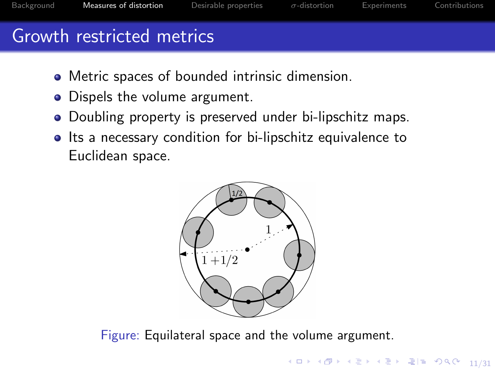[Background](#page-2-0) [Measures of distortion](#page-9-0) [Desirable properties](#page-24-0) σ[-distortion](#page-31-0) [Experiments](#page-37-0) [Contributions](#page-42-0)

# Growth restricted metrics

- Metric spaces of bounded intrinsic dimension.
- Dispels the volume argument.
- Doubling property is preserved under bi-lipschitz maps.
- Its a necessary condition for bi-lipschitz equivalence to Euclidean space.



Figure: Equilateral space and the volume argument.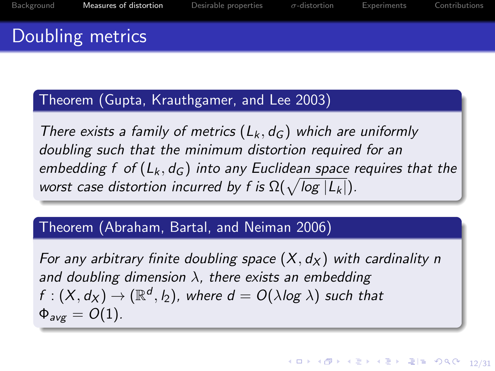# Doubling metrics

#### Theorem (Gupta, Krauthgamer, and Lee [2003\)](#page-48-2)

There exists a family of metrics  $(L_k, d_G)$  which are uniformly doubling such that the minimum distortion required for an embedding f of  $(L_k, d_G)$  into any Euclidean space requires that the worst case distortion incurred by f is  $\Omega(\sqrt{\log |L_k|})$ .

#### Theorem (Abraham, Bartal, and Neiman [2006\)](#page-48-1)

For any arbitrary finite doubling space  $(X, d_X)$  with cardinality n and doubling dimension  $\lambda$ , there exists an embedding  $f: (X,d_X) \to (\mathbb{R}^d, l_2)$ , where  $d = O(\lambda log \; \lambda)$  such that  $\Phi_{\mu\nu\sigma} = O(1)$ .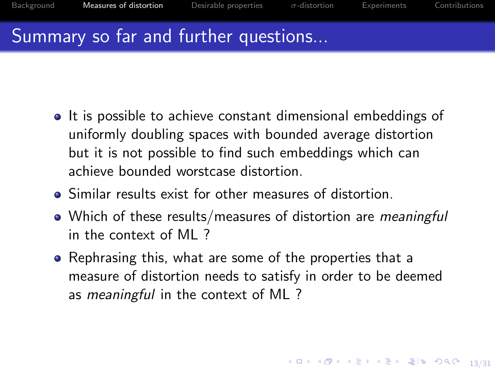# Summary so far and further questions...

- It is possible to achieve constant dimensional embeddings of uniformly doubling spaces with bounded average distortion but it is not possible to find such embeddings which can achieve bounded worstcase distortion.
- **•** Similar results exist for other measures of distortion.
- Which of these results/measures of distortion are meaningful in the context of ML ?
- Rephrasing this, what are some of the properties that a measure of distortion needs to satisfy in order to be deemed as *meaningful* in the context of ML?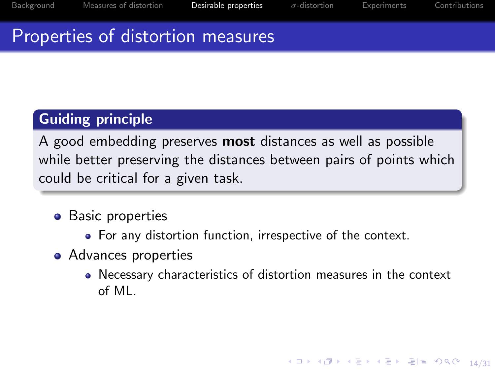4 ロ ▶ 4 @ ▶ 4 블 ▶ 4 블 ▶ - 로(로) 900 0 14/31

### <span id="page-24-0"></span>Properties of distortion measures

#### Guiding principle

A good embedding preserves **most** distances as well as possible while better preserving the distances between pairs of points which could be critical for a given task.

- Basic properties
	- For any distortion function, irrespective of the context.
- Advances properties
	- Necessary characteristics of distortion measures in the context of ML.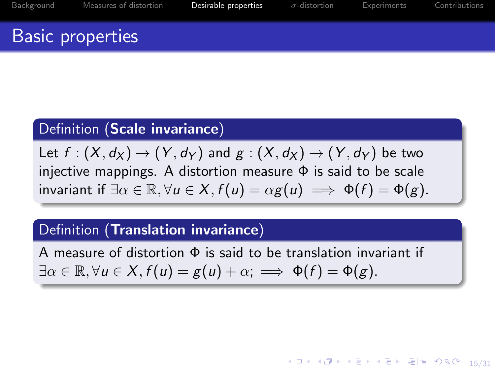# Basic properties

#### Definition (Scale invariance)

Let  $f : (X, d_X) \to (Y, d_Y)$  and  $g : (X, d_X) \to (Y, d_Y)$  be two injective mappings. A distortion measure  $\Phi$  is said to be scale invariant if  $\exists \alpha \in \mathbb{R}, \forall u \in X, f(u) = \alpha g(u) \implies \Phi(f) = \Phi(g)$ .

#### Definition (Translation invariance)

A measure of distortion Φ is said to be translation invariant if  $\exists \alpha \in \mathbb{R}, \forall u \in X, f(u) = g(u) + \alpha; \implies \Phi(f) = \Phi(g).$ 

1日 ▶ 1 御 ▶ 1 블 ▶ 1 블 ▶ - 블|팔, 90 0 - 15/31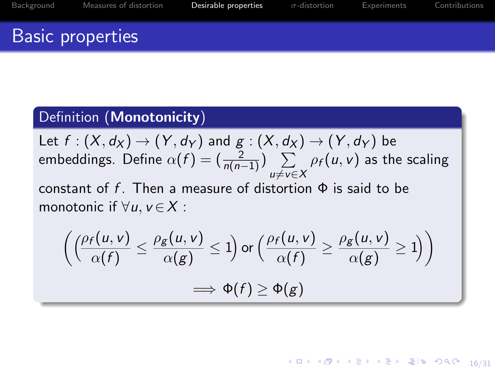4 ロ → 4 @ ▶ 4 블 ▶ 4 블 ▶ - 콜| 게 9 ٩ 0 - 16/31

# Basic properties

#### Definition (Monotonicity)

Let 
$$
f : (X, d_X) \to (Y, d_Y)
$$
 and  $g : (X, d_X) \to (Y, d_Y)$  be  
embeddings. Define  $\alpha(f) = (\frac{2}{n(n-1)}) \sum_{u \neq v \in X} \rho_f(u, v)$  as the scaling  
constant of f. Then a measure of distortion  $\Phi$  is said to be  
meatenic if  $\forall u, v \in Y$ .

monotonic if  $\forall u, v \in X$ :

$$
\left(\left(\frac{\rho_f(u,v)}{\alpha(f)}\leq \frac{\rho_g(u,v)}{\alpha(g)}\leq 1\right) \text{ or } \left(\frac{\rho_f(u,v)}{\alpha(f)}\geq \frac{\rho_g(u,v)}{\alpha(g)}\geq 1\right)\right)
$$
  

$$
\implies \Phi(f)\geq \Phi(g)
$$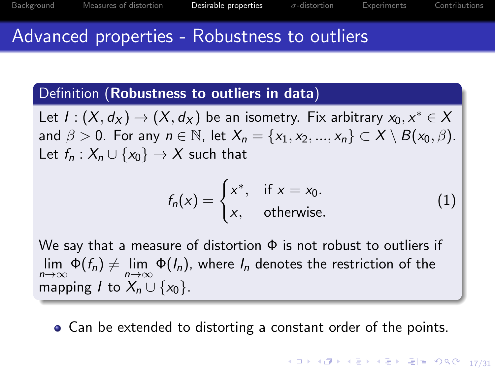#### Advanced properties - Robustness to outliers

#### Definition (Robustness to outliers in data)

Let  $I: (X, d_X) \to (X, d_X)$  be an isometry. Fix arbitrary  $x_0, x^* \in X$ and  $\beta > 0$ . For any  $n \in \mathbb{N}$ , let  $X_n = \{x_1, x_2, ..., x_n\} \subset X \setminus B(x_0, \beta)$ . Let  $f_n: X_n \cup \{x_0\} \rightarrow X$  such that

$$
f_n(x) = \begin{cases} x^*, & \text{if } x = x_0. \\ x, & \text{otherwise.} \end{cases}
$$
 (1)

We say that a measure of distortion  $\Phi$  is not robust to outliers if  $\lim\limits_{n\to\infty}\Phi(f_n)\neq\lim\limits_{n\to\infty}\Phi(I_n)$ , where  $I_n$  denotes the restriction of the mapping *I* to  $X_n \cup \{x_0\}$ .

• Can be extended to distorting a constant order of the points.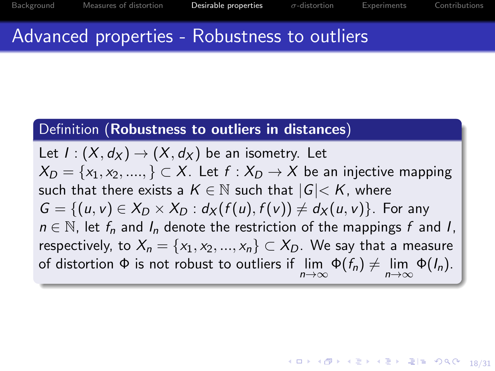18/31

#### Advanced properties - Robustness to outliers

#### Definition (Robustness to outliers in distances)

Let  $I: (X, d_X) \to (X, d_X)$  be an isometry. Let  $X_D = \{x_1, x_2, \dots, x_m\} \subset X$ . Let  $f : X_D \to X$  be an injective mapping such that there exists a  $K \in \mathbb{N}$  such that  $|G| < K$ , where  $G = \{(u, v) \in X_D \times X_D : d_X(f(u), f(v)) \neq d_X(u, v)\}\$ . For any  $n \in \mathbb{N}$ , let  $f_n$  and  $I_n$  denote the restriction of the mappings f and I, respectively, to  $X_n = \{x_1, x_2, ..., x_n\} \subset X_D$ . We say that a measure of distortion  $\Phi$  is not robust to outliers if  $\lim_{n\to\infty}\Phi(f_n)\neq \lim_{n\to\infty}\Phi(f_n)$ .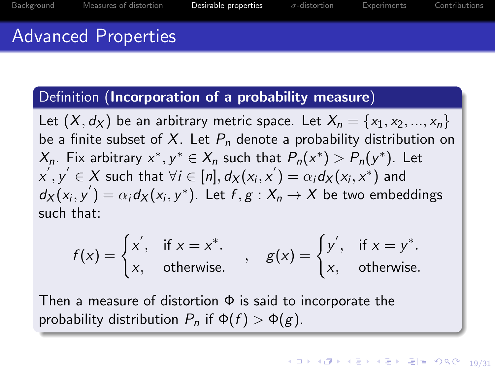### Advanced Properties

#### Definition (Incorporation of a probability measure)

Let  $(X, d_X)$  be an arbitrary metric space. Let  $X_n = \{x_1, x_2, ..., x_n\}$ be a finite subset of X. Let  $P_n$  denote a probability distribution on  $X_n$ . Fix arbitrary  $x^*, y^* \in X_n$  such that  $P_n(x^*) > P_n(y^*)$ . Let  $\mathsf{x}',\mathsf{y}' \in \mathsf{X}$  such that  $\forall i \in [\mathsf{n}], \mathsf{d}_\mathsf{X}(\mathsf{x}_i, \mathsf{x}') = \alpha_i \mathsf{d}_\mathsf{X}(\mathsf{x}_i, \mathsf{x}^*)$  and  $d_X(x_i, y') = \alpha_i d_X(x_i, y^*)$ . Let  $f, g: X_n \to X$  be two embeddings such that:

$$
f(x) = \begin{cases} x', & \text{if } x = x^*. \\ x, & \text{otherwise.} \end{cases}, \quad g(x) = \begin{cases} y', & \text{if } x = y^*. \\ x, & \text{otherwise.} \end{cases}
$$

Then a measure of distortion  $\Phi$  is said to incorporate the probability distribution  $P_n$  if  $\Phi(f) > \Phi(g)$ .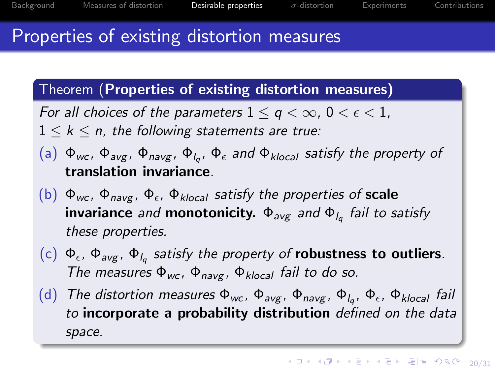#### Properties of existing distortion measures

Theorem (Properties of existing distortion measures)

For all choices of the parameters  $1 \le q \le \infty$ ,  $0 \le \epsilon \le 1$ ,

 $1 \leq k \leq n$ , the following statements are true:

- $(a)$   $\Phi_{wc}$ ,  $\Phi_{avg}$ ,  $\Phi_{navg}$ ,  $\Phi_{lq}$ ,  $\Phi_{\epsilon}$  and  $\Phi_{klocal}$  satisfy the property of translation invariance.
- (b)  $\Phi_{wc}$ ,  $\Phi_{navg}$ ,  $\Phi_{\epsilon}$ ,  $\Phi_{klocal}$  satisfy the properties of scale invariance *and* monotonicity.  $\Phi_{\mathsf{avg}}$  and  $\Phi_{\mathsf{l}_q}$  fail to satisfy these properties.
- (c)  $\Phi_{\epsilon}$ ,  $\Phi_{\text{avg}}$ ,  $\Phi_{l_q}$  satisfy the property of **robustness to outliers**. The measures  $\Phi_{wc}$ ,  $\Phi_{naver}$ ,  $\Phi_{klocal}$  fail to do so.
- $(d)$  The distortion measures Φ<sub>wc</sub>, Φ<sub>avg</sub>, Φ<sub>navg</sub>, Φ<sub>lq</sub>, Φ<sub>ε</sub>, Φ<sub>klocal</sub> fail to incorporate a probability distribution defined on the data space.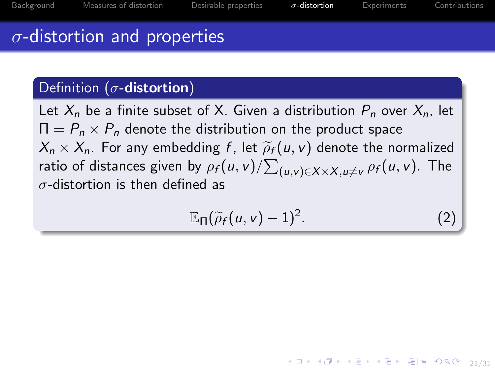4 ロ → 4 @ → 4 할 → 4 할 → [할 → 9 Q ① - 21/31]

# <span id="page-31-0"></span> $\sigma$ -distortion and properties

#### Definition ( $\sigma$ -distortion)

Let  $X_n$  be a finite subset of X. Given a distribution  $P_n$  over  $X_n$ , let  $\Pi = P_n \times P_n$  denote the distribution on the product space  $X_n \times X_n$ . For any embedding f, let  $\widetilde{\rho}_f(u, v)$  denote the normalized ratio of distances given by  $\rho_f(u,v)/{\sum_{(u,v)\in X\times X, u\neq v}\rho_f(u,v)}.$  The  $\sigma$ -distortion is then defined as

$$
\mathbb{E}_{\Pi}(\widetilde{\rho}_f(u,v)-1)^2. \tag{2}
$$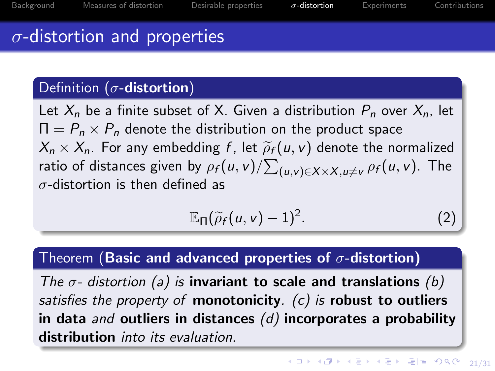# $\sigma$ -distortion and properties

#### Definition ( $\sigma$ -distortion)

Let  $X_n$  be a finite subset of X. Given a distribution  $P_n$  over  $X_n$ , let  $\Pi = P_n \times P_n$  denote the distribution on the product space  $X_n \times X_n$ . For any embedding f, let  $\widetilde{\rho}_f(u, v)$  denote the normalized ratio of distances given by  $\rho_f(u,v)/{\sum_{(u,v)\in X\times X,u\neq v}\rho_f(u,v)}.$  The  $\sigma$ -distortion is then defined as

$$
\mathbb{E}_{\Pi}(\widetilde{\rho}_f(u,v)-1)^2. \tag{2}
$$

#### Theorem (Basic and advanced properties of  $\sigma$ -distortion)

The  $\sigma$ - distortion (a) is invariant to scale and translations (b) satisfies the property of monotonicity.  $(c)$  is robust to outliers in data and outliers in distances  $(d)$  incorporates a probability distribution *into its evaluation*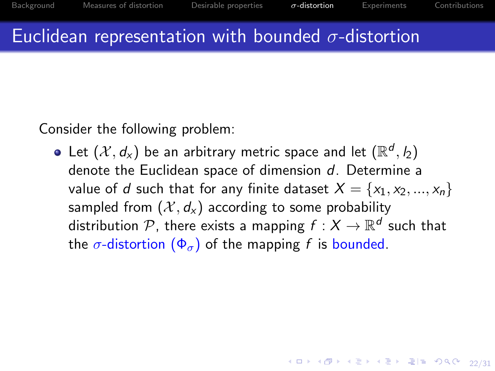4 ロ ▶ 4 @ ▶ 4 로 ▶ 4 로 ▶ \_로 ⊨ 20 9 9 9 22/31

## Euclidean representation with bounded  $\sigma$ -distortion

Consider the following problem:

Let  $(\mathcal{X},d_{\mathsf{x}})$  be an arbitrary metric space and let  $(\mathbb{R}^d,\mathit{l}_2)$ denote the Euclidean space of dimension d. Determine a value of d such that for any finite dataset  $X = \{x_1, x_2, ..., x_n\}$ sampled from  $(\mathcal{X}, d_x)$  according to some probability distribution  ${\mathcal P}$ , there exists a mapping  $f:X\to{\mathbb R}^d$  such that the  $\sigma$ -distortion  $(\Phi_{\sigma})$  of the mapping f is bounded.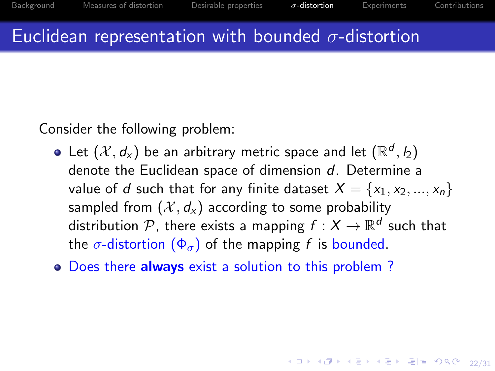4 ロ → 4 同 → 4 필 → 4 필 → 그림 = 9 이 이 22/31

# Euclidean representation with bounded  $\sigma$ -distortion

Consider the following problem:

- Let  $(\mathcal{X},d_{\mathsf{x}})$  be an arbitrary metric space and let  $(\mathbb{R}^d,\mathit{l}_2)$ denote the Euclidean space of dimension d. Determine a value of d such that for any finite dataset  $X = \{x_1, x_2, ..., x_n\}$ sampled from  $(\mathcal{X}, d_x)$  according to some probability distribution  ${\mathcal P}$ , there exists a mapping  $f:X\to{\mathbb R}^d$  such that the  $\sigma$ -distortion  $(\Phi_{\sigma})$  of the mapping f is bounded.
- Does there always exist a solution to this problem?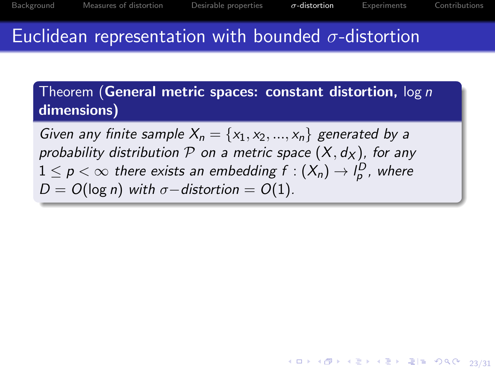4 ロ ▶ 4 @ ▶ 4 블 ▶ 4 블 ▶ - 로(로) 900에 23/31

# Euclidean representation with bounded  $\sigma$ -distortion

Theorem (General metric spaces: constant distortion, log n dimensions)

Given any finite sample  $X_n = \{x_1, x_2, ..., x_n\}$  generated by a probability distribution P on a metric space  $(X, d_X)$ , for any  $1\leq p<\infty$  there exists an embedding  $f:(X_n)\rightarrow l^D_p$  , where  $D = O(\log n)$  with  $\sigma$ −distortion =  $O(1)$ .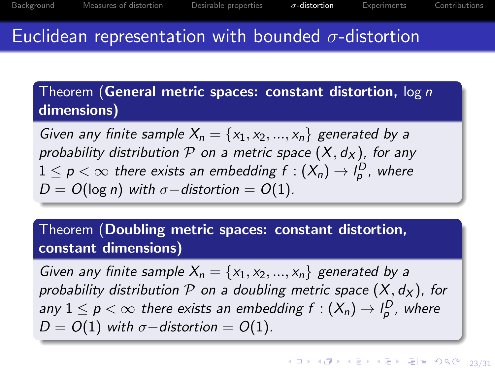# <span id="page-36-0"></span>Euclidean representation with bounded  $\sigma$ -distortion

Theorem (General metric spaces: constant distortion, log n dimensions)

Given any finite sample  $X_n = \{x_1, x_2, ..., x_n\}$  generated by a probability distribution P on a metric space  $(X, d_X)$ , for any  $1\leq p<\infty$  there exists an embedding  $f:(X_n)\rightarrow l^D_p$  , where  $D = O(\log n)$  with  $\sigma$ −distortion =  $O(1)$ .

#### Theorem (Doubling metric spaces: constant distortion, constant dimensions)

Given any finite sample  $X_n = \{x_1, x_2, ..., x_n\}$  generated by a probability distribution  $P$  on a doubling metric space  $(X, d_X)$ , for any  $1\leq p<\infty$  there exists an embedding  $f:(X_n)\rightarrow l^D_\rho$  , where  $D = O(1)$  with  $\sigma$ −distortion =  $O(1)$ .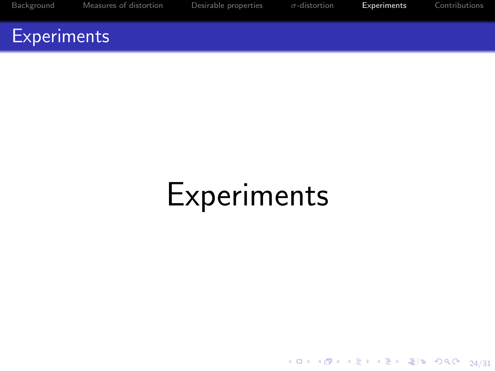<span id="page-37-0"></span>[Background](#page-2-0) [Measures of distortion](#page-9-0) [Desirable properties](#page-24-0) σ[-distortion](#page-31-0) [Experiments](#page-37-0) [Contributions](#page-42-0)

#### **Experiments**

# Experiments

4 ロ → 4 @ ▶ 4 블 ▶ 4 블 ▶ - 콜|게 - 9 ٩ 0 - 24/31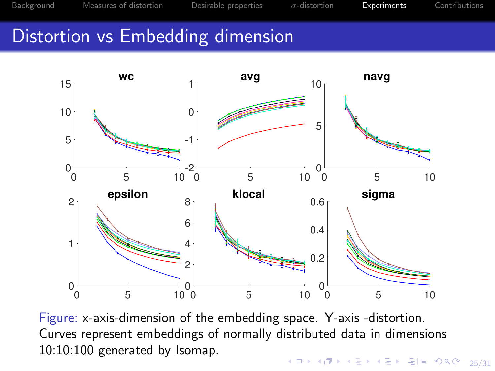# <span id="page-38-0"></span>Distortion vs Embedding dimension



Figure: x-axis-dimension of the embedding space. Y-axis -distortion. Curves represent embeddings of normally distributed data in dimensions 10:10:100 generated by Isomap.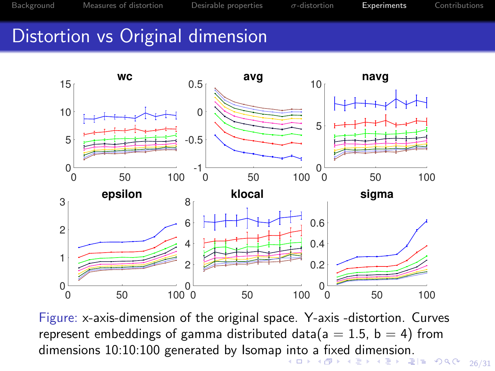# <span id="page-39-0"></span>Distortion vs Original dimension



4 로 - 로 - 이익어 - 26/31 Figure: x-axis-dimension of the original space. Y-axis -distortion. Curves represent embeddings of gamma distributed data( $a = 1.5$ ,  $b = 4$ ) from dimensions 10:10:100 generated by Isomap [in](#page-38-0)t[o](#page-40-0) [a](#page-38-0) [fix](#page-39-0)[e](#page-36-0)[d](#page-36-0) [d](#page-37-0)[i](#page-41-0)[m](#page-42-0)e[n](#page-0-0)[s](#page-41-0)[io](#page-42-0)n[.](#page-47-0)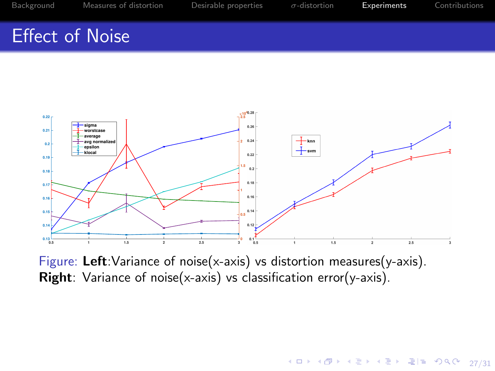### <span id="page-40-0"></span>Effect of Noise



Figure: Left:Variance of noise(x-axis) vs distortion measures(y-axis). Right: Variance of noise(x-axis) vs classification error(y-axis).

4 ロ → 4 @ ▶ 4 블 ▶ 4 블 ▶ - 콜| 게 9 ٩ 0 - 27/31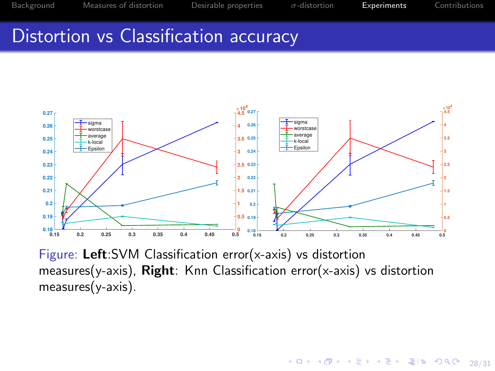4 ロ ▶ 4 @ ▶ 4 블 ▶ 4 블 ▶ - 블 | = 19 0 0 1 28/31

#### <span id="page-41-0"></span>Distortion vs Classification accuracy



Figure: Left:SVM Classification error(x-axis) vs distortion measures(y-axis), Right: Knn Classification error(x-axis) vs distortion measures(y-axis).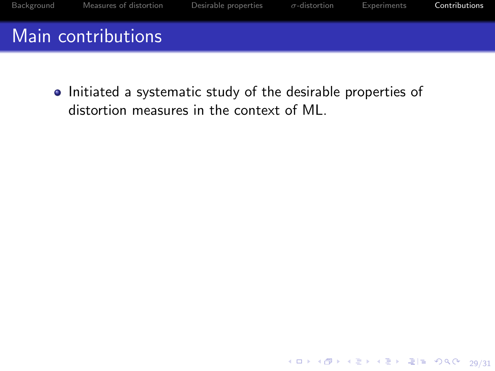<span id="page-42-0"></span>

• Initiated a systematic study of the desirable properties of distortion measures in the context of ML.

4 ロ → 4 @ ▶ 4 블 ▶ 4 블 ▶ - 콜| 게 9 ٩ 0 - 29/31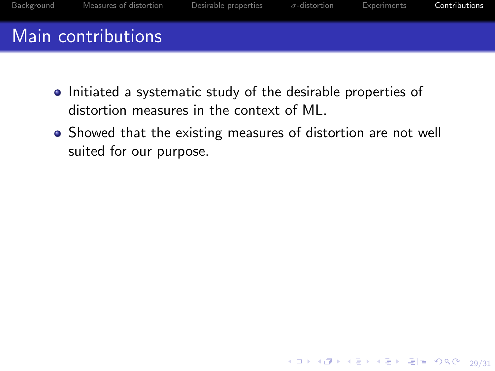

- Initiated a systematic study of the desirable properties of distortion measures in the context of ML.
- Showed that the existing measures of distortion are not well suited for our purpose.

4 ロ → 4 同 → 4 로 → 4 로 → 로 로 → 9 Q O + 29/31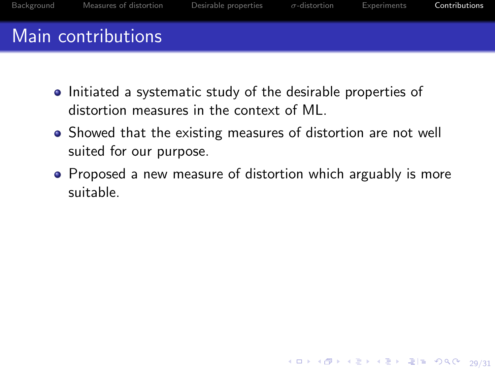

- Initiated a systematic study of the desirable properties of distortion measures in the context of ML.
- Showed that the existing measures of distortion are not well suited for our purpose.
- Proposed a new measure of distortion which arguably is more suitable.

4 ロ ▶ 4 @ ▶ 4 블 ▶ 4 블 ▶ - 블 | = 19 0 0 0 129/31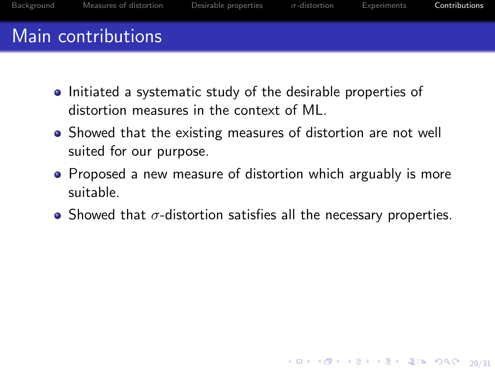

- Initiated a systematic study of the desirable properties of distortion measures in the context of ML.
- Showed that the existing measures of distortion are not well suited for our purpose.
- Proposed a new measure of distortion which arguably is more suitable.
- Showed that  $\sigma$ -distortion satisfies all the necessary properties.

4 ロ ▶ 4 @ ▶ 4 블 ▶ 4 블 ▶ - 블 | = 19 0 0 0 129/31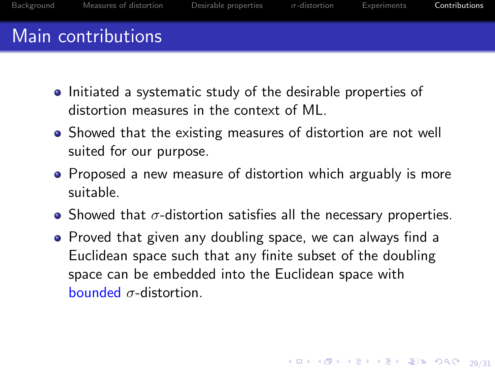- Initiated a systematic study of the desirable properties of distortion measures in the context of ML.
- Showed that the existing measures of distortion are not well suited for our purpose.
- Proposed a new measure of distortion which arguably is more suitable.
- Showed that  $\sigma$ -distortion satisfies all the necessary properties.
- Proved that given any doubling space, we can always find a Euclidean space such that any finite subset of the doubling space can be embedded into the Euclidean space with bounded  $\sigma$ -distortion.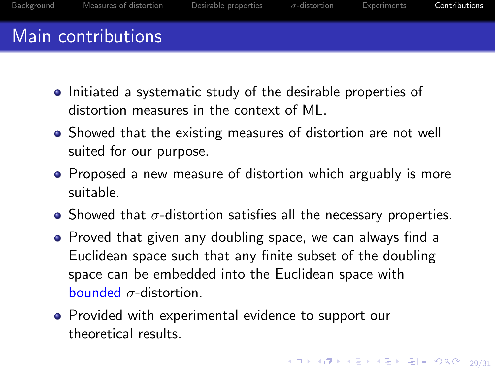- <span id="page-47-0"></span>• Initiated a systematic study of the desirable properties of distortion measures in the context of ML.
- Showed that the existing measures of distortion are not well suited for our purpose.
- Proposed a new measure of distortion which arguably is more suitable.
- Showed that  $\sigma$ -distortion satisfies all the necessary properties.
- Proved that given any doubling space, we can always find a Euclidean space such that any finite subset of the doubling space can be embedded into the Euclidean space with bounded  $\sigma$ -distortion.
- Provided with experimental evidence to support our theoretical results.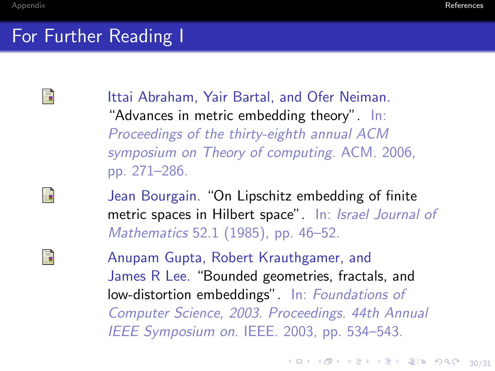# <span id="page-48-3"></span>For Further Reading I

<span id="page-48-1"></span>畐

<span id="page-48-0"></span>E.

<span id="page-48-2"></span>F

Ittai Abraham, Yair Bartal, and Ofer Neiman. "Advances in metric embedding theory". In: Proceedings of the thirty-eighth annual ACM symposium on Theory of computing. ACM. 2006, pp. 271–286.

Jean Bourgain. "On Lipschitz embedding of finite metric spaces in Hilbert space". In: Israel Journal of Mathematics 52.1 (1985), pp. 46–52.

Anupam Gupta, Robert Krauthgamer, and James R Lee. "Bounded geometries, fractals, and low-distortion embeddings". In: Foundations of Computer Science, 2003. Proceedings. 44th Annual IEEE Symposium on. IEEE. 2003, pp. 534–543.